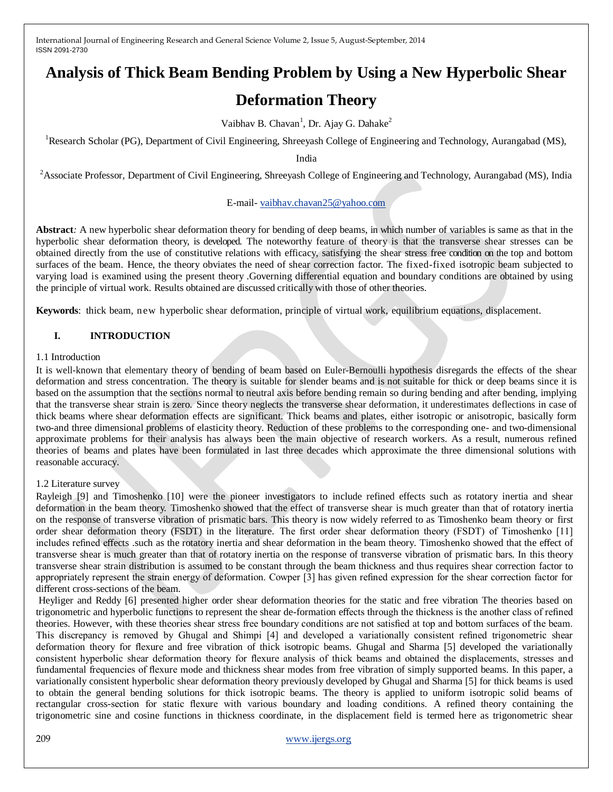# **Analysis of Thick Beam Bending Problem by Using a New Hyperbolic Shear**

# **Deformation Theory**

Vaibhav B. Chavan<sup>1</sup>, Dr. Ajay G. Dahake<sup>2</sup>

<sup>1</sup>Research Scholar (PG), Department of Civil Engineering, Shreeyash College of Engineering and Technology, Aurangabad (MS),

India

<sup>2</sup>Associate Professor, Department of Civil Engineering, Shreeyash College of Engineering and Technology, Aurangabad (MS), India

## E-mail- [vaibhav.chavan25@yahoo.com](mailto:vaibhav.chavan25@yahoo.com)

**Abstract***:* A new hyperbolic shear deformation theory for bending of deep beams, in which number of variables is same as that in the hyperbolic shear deformation theory, is developed. The noteworthy feature of theory is that the transverse shear stresses can be obtained directly from the use of constitutive relations with efficacy, satisfying the shear stress free condition on the top and bottom surfaces of the beam. Hence, the theory obviates the need of shear correction factor. The fixed-fixed isotropic beam subjected to varying load is examined using the present theory .Governing differential equation and boundary conditions are obtained by using the principle of virtual work. Results obtained are discussed critically with those of other theories.

**Keywords**: thick beam, new hyperbolic shear deformation, principle of virtual work, equilibrium equations, displacement.

# **I. INTRODUCTION**

#### 1.1 Introduction

It is well-known that elementary theory of bending of beam based on Euler-Bernoulli hypothesis disregards the effects of the shear deformation and stress concentration. The theory is suitable for slender beams and is not suitable for thick or deep beams since it is based on the assumption that the sections normal to neutral axis before bending remain so during bending and after bending, implying that the transverse shear strain is zero. Since theory neglects the transverse shear deformation, it underestimates deflections in case of thick beams where shear deformation effects are significant. Thick beams and plates, either isotropic or anisotropic, basically form two-and three dimensional problems of elasticity theory. Reduction of these problems to the corresponding one- and two-dimensional approximate problems for their analysis has always been the main objective of research workers. As a result, numerous refined theories of beams and plates have been formulated in last three decades which approximate the three dimensional solutions with reasonable accuracy.

## 1.2 Literature survey

Rayleigh [9] and Timoshenko [10] were the pioneer investigators to include refined effects such as rotatory inertia and shear deformation in the beam theory. Timoshenko showed that the effect of transverse shear is much greater than that of rotatory inertia on the response of transverse vibration of prismatic bars. This theory is now widely referred to as Timoshenko beam theory or first order shear deformation theory (FSDT) in the literature. The first order shear deformation theory (FSDT) of Timoshenko [11] includes refined effects .such as the rotatory inertia and shear deformation in the beam theory. Timoshenko showed that the effect of transverse shear is much greater than that of rotatory inertia on the response of transverse vibration of prismatic bars. In this theory transverse shear strain distribution is assumed to be constant through the beam thickness and thus requires shear correction factor to appropriately represent the strain energy of deformation. Cowper [3] has given refined expression for the shear correction factor for different cross-sections of the beam.

Heyliger and Reddy [6] presented higher order shear deformation theories for the static and free vibration The theories based on trigonometric and hyperbolic functions to represent the shear de-formation effects through the thickness is the another class of refined theories. However, with these theories shear stress free boundary conditions are not satisfied at top and bottom surfaces of the beam. This discrepancy is removed by Ghugal and Shimpi [4] and developed a variationally consistent refined trigonometric shear deformation theory for flexure and free vibration of thick isotropic beams. Ghugal and Sharma [5] developed the variationally consistent hyperbolic shear deformation theory for flexure analysis of thick beams and obtained the displacements, stresses and fundamental frequencies of flexure mode and thickness shear modes from free vibration of simply supported beams. In this paper, a variationally consistent hyperbolic shear deformation theory previously developed by Ghugal and Sharma [5] for thick beams is used to obtain the general bending solutions for thick isotropic beams. The theory is applied to uniform isotropic solid beams of rectangular cross-section for static flexure with various boundary and loading conditions. A refined theory containing the trigonometric sine and cosine functions in thickness coordinate, in the displacement field is termed here as trigonometric shear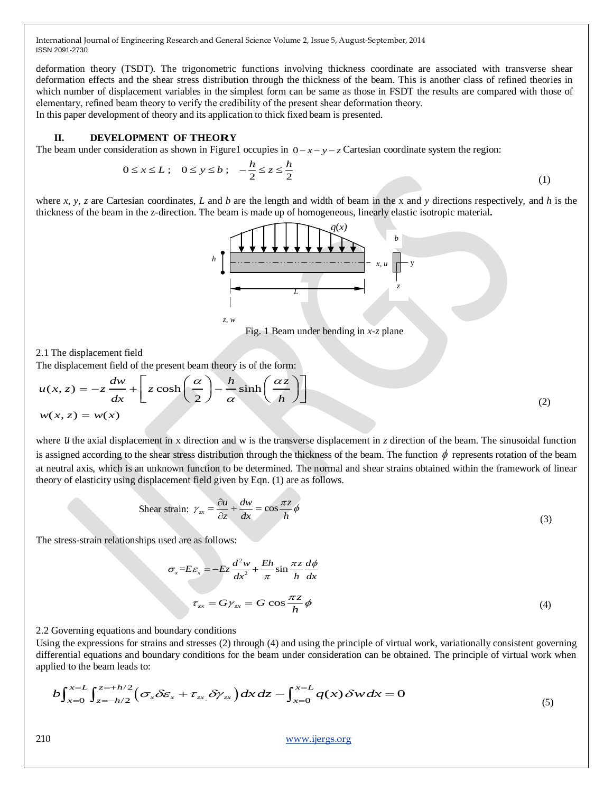deformation theory (TSDT). The trigonometric functions involving thickness coordinate are associated with transverse shear deformation effects and the shear stress distribution through the thickness of the beam. This is another class of refined theories in which number of displacement variables in the simplest form can be same as those in FSDT the results are compared with those of elementary, refined beam theory to verify the credibility of the present shear deformation theory. In this paper development of theory and its application to thick fixed beam is presented.

## **II. DEVELOPMENT OF THEORY**

The beam under consideration as shown in Figure1 occupies in  $0-x-y-z$  Cartesian coordinate system the region:<br> $0 \le x \le L : 0 \le y \le h : -\frac{h}{x} \le z \le \frac{h}{x}$ 

$$
0 \le x \le L \quad 0 \le y \le b \quad -\frac{h}{2} \le z \le \frac{h}{2} \tag{1}
$$

where *x*, *y*, *z* are Cartesian coordinates, *L* and *b* are the length and width of beam in the x and *y* directions respectively, and *h* is the thickness of the beam in the z-direction. The beam is made up of homogeneous, linearly elastic isotropic material**.** 



Fig. 1 Beam under bending in *x-z* plane

2.1 The displacement field

The displacement field of the present beam theory is of the form:  
\n
$$
u(x, z) = -z \frac{dw}{dx} + \left[ z \cosh\left(\frac{\alpha}{2}\right) - \frac{h}{\alpha} \sinh\left(\frac{\alpha z}{h}\right) \right]
$$
\n
$$
w(x, z) = w(x)
$$
\n(2)

where  *the axial displacement in x direction and w is the transverse displacement in*  $z$  *direction of the beam. The sinusoidal function* is assigned according to the shear stress distribution through the thickness of the beam. The function  $\phi$  represents rotation of the beam at neutral axis, which is an unknown function to be determined. The normal and shear strains obtained within the framework of linear theory of elasticity using displacement field given by Eqn. (1) are as follows.

Shear strain: 
$$
\gamma_{zx} = \frac{\partial u}{\partial z} + \frac{dw}{dx} = \cos \frac{\pi z}{h} \phi
$$
 (3)

The stress-strain relationships used are as follows:

$$
\sigma_x = E\varepsilon_x = -Ez \frac{d^2 w}{dx^2} + \frac{Eh}{\pi} \sin \frac{\pi z}{h} \frac{d\phi}{dx}
$$
  

$$
\tau_{zx} = G\gamma_{zx} = G \cos \frac{\pi z}{h} \phi
$$
 (4)

#### 2.2 Governing equations and boundary conditions

Using the expressions for strains and stresses (2) through (4) and using the principle of virtual work, variationally consistent governing differential equations and boundary conditions for the beam under consideration ca

differential equations and boundary conditions for the beam under consideration can be obtained. The principle of virtual work when applied to the beam leads to:  
\n
$$
b \int_{x=0}^{x=L} \int_{z=-h/2}^{z=+h/2} (\sigma_x \delta \varepsilon_x + \tau_{zx} \delta \gamma_{zx}) dx dz - \int_{x=0}^{x=L} q(x) \delta w dx = 0
$$
\n(5)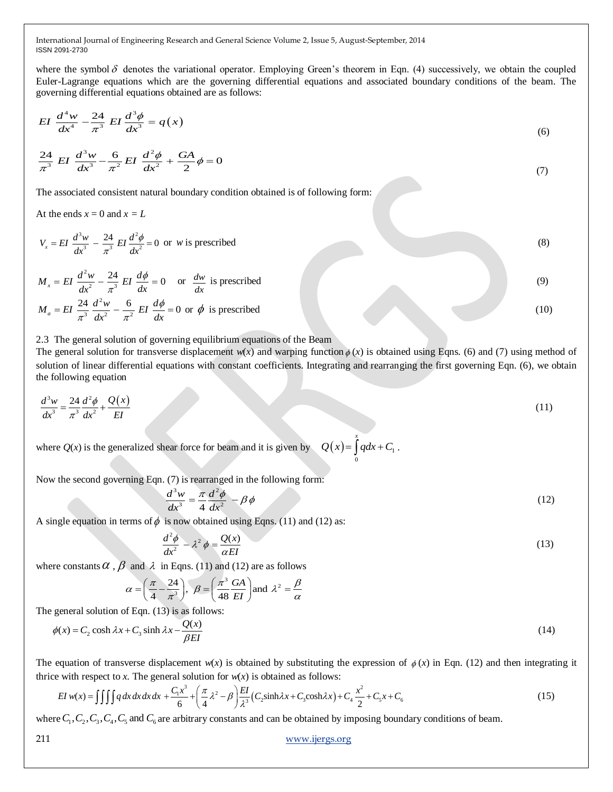where the symbol  $\delta$  denotes the variational operator. Employing Green's theorem in Eqn. (4) successively, we obtain the coupled Euler-Lagrange equations which are the governing differential equations and associated boundary conditions of the beam. The governing differential equations obtained are as follows:

$$
EI \frac{d^4 w}{dx^4} - \frac{24}{\pi^3} EI \frac{d^3 \phi}{dx^3} = q(x)
$$
  
\n
$$
\frac{24}{\pi^3} EI \frac{d^3 w}{dx^3} - \frac{6}{\pi^2} EI \frac{d^2 \phi}{dx^2} + \frac{GA}{2} \phi = 0
$$
\n(7)

The associated consistent natural boundary condition obtained is of following form:

At the ends  $x = 0$  and  $x = L$ 

$$
V_x = EI \frac{d^3 w}{dx^3} - \frac{24}{\pi^3} EI \frac{d^2 \phi}{dx^2} = 0
$$
 or *w* is prescribed (8)

$$
M_x = EI \frac{d^2 w}{dx^2} - \frac{24}{\pi^3} EI \frac{d\phi}{dx} = 0 \quad \text{or} \quad \frac{dw}{dx} \text{ is prescribed}
$$
  
\n
$$
M_a = EI \frac{24}{\pi^3} \frac{d^2 w}{dx^2} - \frac{6}{\pi^2} EI \frac{d\phi}{dx} = 0 \text{ or } \phi \text{ is prescribed}
$$
\n(10)

2.3 The general solution of governing equilibrium equations of the Beam

The general solution for transverse displacement  $w(x)$  and warping function  $\phi(x)$  is obtained using Eqns. (6) and (7) using method of solution of linear differential equations with constant coefficients. Integrating and rearranging the first governing Eqn. (6), we obtain the following equation

$$
\frac{d^3w}{dx^3} = \frac{24}{\pi^3} \frac{d^2\phi}{dx^2} + \frac{Q(x)}{EI}
$$
\n(11)

where  $Q(x)$  is the generalized shear force for beam and it is given by  $Q(x) = |q dx + C_1|$  $\mathbf{0}$  $Q(x) = \int_a^x q dx + C_1$ .

Now the second governing Eqn. (7) is rearranged in the following form:

$$
\frac{d^3w}{dx^3} = \frac{\pi}{4} \frac{d^2\phi}{dx^2} - \beta\phi
$$
\n(12)

A single equation in terms of  $\phi$  is now obtained using Eqns. (11) and (12) as:

$$
\frac{d^2\phi}{dx^2} - \lambda^2 \phi = \frac{Q(x)}{\alpha EI} \tag{13}
$$

where constants 
$$
\alpha
$$
,  $\beta$  and  $\lambda$  in Eqns. (11) and (12) are as follows  

$$
\alpha = \left(\frac{\pi}{4} - \frac{24}{\pi^3}\right), \ \beta = \left(\frac{\pi^3}{48} \frac{GA}{EI}\right) \text{ and } \lambda^2 = \frac{\beta}{\alpha}
$$

The general solution of Eqn. (13) is as follows:  
\n
$$
\phi(x) = C_2 \cosh \lambda x + C_3 \sinh \lambda x - \frac{Q(x)}{\beta EI}
$$
\n(14)

thrice with respect to *x*. The general solution for  $w(x)$  is obtained as follows: it  $w(x)$  is obtained by<br>tion for  $w(x)$  is obtain<br> $\left(\frac{\pi}{4}\lambda^2 - \beta\right) \frac{EI}{\pi^3} (C_2 \sinh \lambda)$ 

The equation of transverse displacement 
$$
w(x)
$$
 is obtained by substituting the expression of  $\phi(x)$  in Eqn. (12) and then integrating it  
thrice with respect to x. The general solution for  $w(x)$  is obtained as follows:  

$$
EI w(x) = \iiint q dx dx dx dx + \frac{C_1 x^3}{6} + \left(\frac{\pi}{4} \lambda^2 - \beta\right) \frac{EI}{\lambda^3} (C_2 \sinh \lambda x + C_3 \cosh \lambda x) + C_4 \frac{x^2}{2} + C_5 x + C_6
$$
(15)

where  $C_1, C_2, C_3, C_4, C_5$  and  $C_6$  are arbitrary constants and can be obtained by imposing boundary conditions of beam.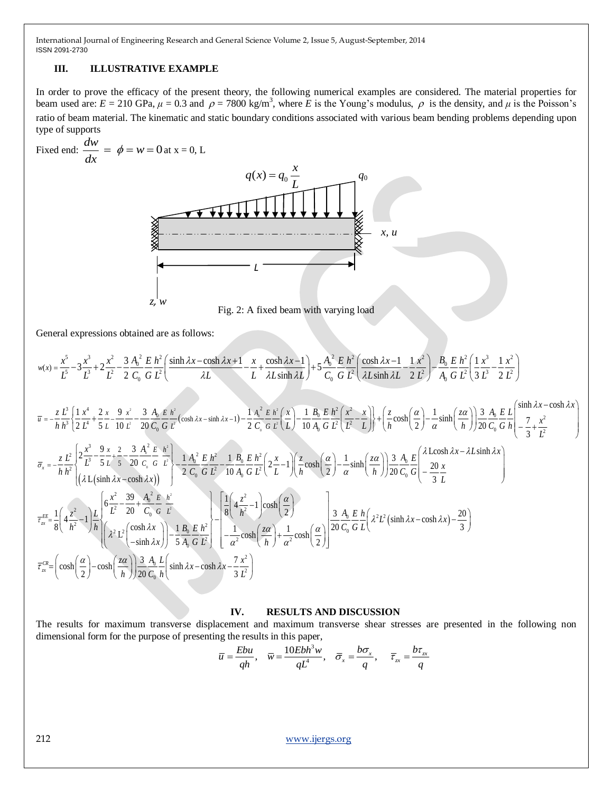## **III. ILLUSTRATIVE EXAMPLE**

In order to prove the efficacy of the present theory, the following numerical examples are considered. The material properties for beam used are:  $E = 210 \text{ GPa}$ ,  $\mu = 0.3$  and  $\rho = 7800 \text{ kg/m}^3$ , where *E* is the Young's modulus,  $\rho$  is the density, and  $\mu$  is the Poisson's ratio of beam material. The kinematic and static boundary conditions associated with various beam bending problems depending upon type of supports

Fixed end: 
$$
\frac{dw}{dx} = \phi = w = 0
$$
 at  $x = 0, 1$ .  
\n
$$
q(x) = q_0 \frac{x}{L}
$$
\n
$$
q(x) = q_0 \frac{x}{L}
$$
\n
$$
u
$$
\n
$$
u
$$
\n
$$
u
$$
\n
$$
u
$$
\n
$$
u
$$
\n
$$
u
$$
\n
$$
u
$$
\n
$$
u
$$
\n
$$
u
$$
\n
$$
u
$$
\n
$$
u
$$
\n
$$
u
$$
\n
$$
u
$$
\n
$$
u
$$
\n
$$
u
$$
\n
$$
u
$$
\n
$$
u
$$
\n
$$
u
$$
\n
$$
u
$$
\n
$$
u
$$
\n
$$
u
$$
\n
$$
u
$$
\n
$$
u
$$
\n
$$
u
$$
\n
$$
u
$$
\n
$$
u
$$
\n
$$
u
$$
\n
$$
u
$$
\n
$$
u
$$
\n
$$
u
$$
\n
$$
u
$$
\n
$$
u
$$
\n
$$
u
$$
\n
$$
u
$$
\n
$$
u
$$
\n
$$
u
$$
\n
$$
u
$$
\n
$$
u
$$
\n
$$
u
$$
\n
$$
u
$$
\n
$$
u
$$
\n
$$
u
$$
\n
$$
u
$$
\n
$$
u
$$
\n
$$
u
$$
\n
$$
u
$$
\n
$$
u
$$
\n
$$
u
$$
\n
$$
u
$$
\n
$$
u
$$
\n
$$
u
$$
\n
$$
u
$$
\n
$$
u
$$
\n
$$
u
$$
\n
$$
u
$$
\n
$$
u
$$
\n
$$
u
$$
\n
$$
u
$$
\n
$$
u
$$
\n
$$
u
$$
\n
$$
u
$$
\n
$$
u
$$
\

#### **IV. RESULTS AND DISCUSSION**

The results for maximum transverse displacement and maximum transverse shear stresses are presented in the following non dimensional form for the purpose of presenting the results in this paper,<br>  $\overline{u} = \frac{Ebu}{ah}$ ,  $\overline{w} = \frac{10Ebh^3w}{aI^4}$ ,  $\overline{\sigma}_x = \frac{b\sigma_x}{a}$ ,  $\overline{\tau}_{xx} = \frac{b\tau_{xx}}{a}$  $\frac{\sigma_x}{\tau}$  =  $\frac{b\tau_x}{c}$ 

$$
\overline{u} = \frac{Ebu}{qh}
$$
,  $\overline{w} = \frac{10Ebh^3w}{qL^4}$ ,  $\overline{\sigma}_x = \frac{b\sigma_x}{q}$ ,  $\overline{\tau}_x = \frac{b\tau_x}{q}$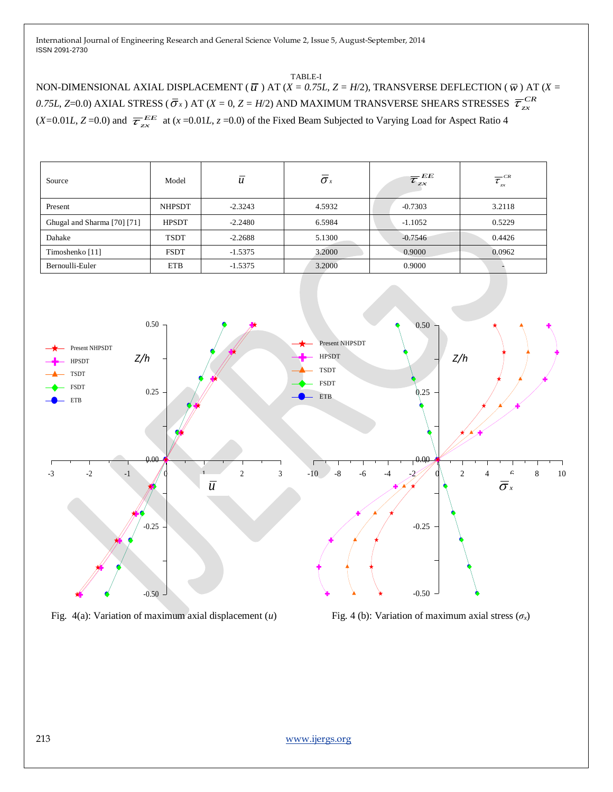TABLE-I NON-DIMENSIONAL AXIAL DISPLACEMENT ( $\overline{u}$ ) AT (*X* = 0.75*L*, *Z* = *H*/2), TRANSVERSE DEFLECTION ( $\overline{w}$ ) AT (*X* = 0.75L, Z=0.0) AXIAL STRESS (  $\bar{\sigma}_x$  ) AT (*X* = 0, *Z* = *H*/2) AND MAXIMUM TRANSVERSE SHEARS STRESSES  $\bar{\tau}_{zx}^{CR}$  $(X=0.01L, Z=0.0)$  and  $\overline{\tau}_{zx}^{EE}$  at  $(x=0.01L, z=0.0)$  of the Fixed Beam Subjected to Varying Load for Aspect Ratio 4

| Source                      | Model         | $\boldsymbol{u}$ | $\sigma_{x}$ | $\overline{\tau}_{zx}^{EE}$ | $\overline{\tau}_{_{zx}}^{^{{\textit{CR}}} }$ |
|-----------------------------|---------------|------------------|--------------|-----------------------------|-----------------------------------------------|
| Present                     | <b>NHPSDT</b> | $-2.3243$        | 4.5932       | $-0.7303$                   | 3.2118                                        |
| Ghugal and Sharma [70] [71] | <b>HPSDT</b>  | $-2.2480$        | 6.5984       | $-1.1052$                   | 0.5229                                        |
| Dahake                      | <b>TSDT</b>   | $-2.2688$        | 5.1300       | $-0.7546$                   | 0.4426                                        |
| Timoshenko [11]             | <b>FSDT</b>   | $-1.5375$        | 3.2000       | 0.9000                      | 0.0962                                        |
| Bernoulli-Euler             | <b>ETB</b>    | $-1.5375$        | 3.2000       | 0.9000                      |                                               |



Fig. 4(a): Variation of maximum axial displacement (*u*) Fig. 4 (b): Variation of maximum axial stress (*σx*)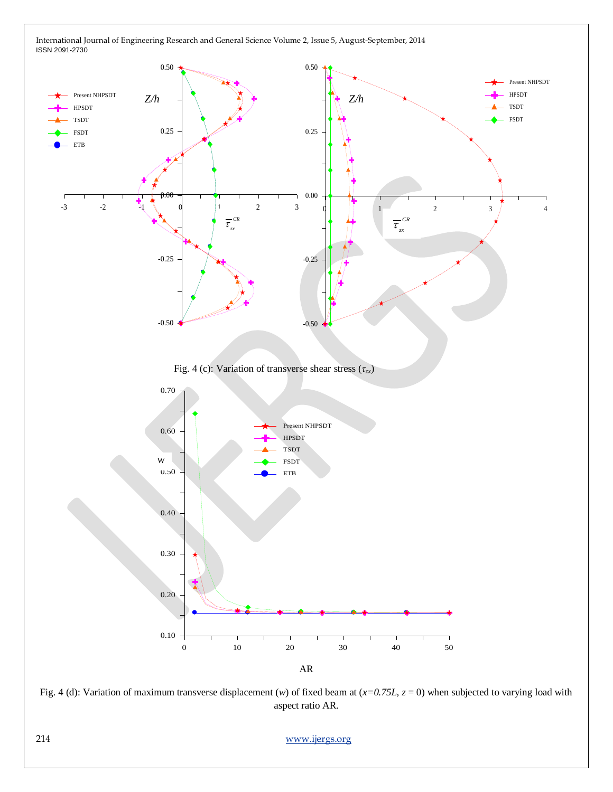

Fig. 4 (d): Variation of maximum transverse displacement (*w*) of fixed beam at (*x=0.75L, z* = 0) when subjected to varying load with aspect ratio AR.